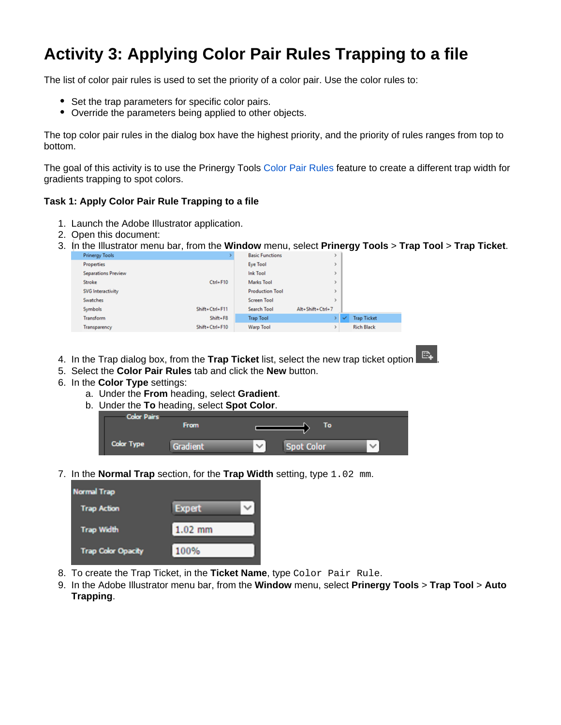## **Activity 3: Applying Color Pair Rules Trapping to a file**

The list of color pair rules is used to set the priority of a color pair. Use the color rules to:

- Set the trap parameters for specific color pairs.
- Override the parameters being applied to other objects.

The top color pair rules in the dialog box have the highest priority, and the priority of rules ranges from top to bottom.

The goal of this activity is to use the Prinergy Tools [Color Pair Rules](https://workflowhelp.kodak.com/display/PT101/Trap+Color+Pairs) feature to create a different trap width for gradients trapping to spot colors.

## **Task 1: Apply Color Pair Rule Trapping to a file**

- 1. Launch the Adobe Illustrator application.
- 2. Open this document:
- 3. In the Illustrator menu bar, from the **Window** menu, select **Prinergy Tools** > **Trap Tool** > **Trap Ticket**.

| <b>Prinergy Tools</b>      |                | <b>Basic Functions</b> |                  |   |                    |  |
|----------------------------|----------------|------------------------|------------------|---|--------------------|--|
| <b>Properties</b>          |                | <b>Eye Tool</b>        |                  |   |                    |  |
| <b>Separations Preview</b> |                | <b>Ink Tool</b>        | y.               |   |                    |  |
| Stroke                     | $Ctrl + F10$   | <b>Marks Tool</b>      |                  |   |                    |  |
| SVG Interactivity          |                | <b>Production Tool</b> |                  |   |                    |  |
| <b>Swatches</b>            |                | <b>Screen Tool</b>     |                  |   |                    |  |
| <b>Symbols</b>             | Shift+Ctrl+F11 | <b>Search Tool</b>     | Alt+Shift+Ctrl+7 |   |                    |  |
| Transform                  | $Shift + F8$   | <b>Trap Tool</b>       |                  | ✓ | <b>Trap Ticket</b> |  |
| Transparency               | Shift+Ctrl+F10 | <b>Warp Tool</b>       | r                |   | <b>Rich Black</b>  |  |

- 4. In the Trap dialog box, from the **Trap Ticket** list, select the new trap ticket option  $\Box$  **.**
- 5. Select the **Color Pair Rules** tab and click the **New** button.
- 6. In the **Color Type** settings:
	- a. Under the **From** heading, select **Gradient**.
	- b. Under the **To** heading, select **Spot Color**.

| <b>Color Pairs</b> | <b>From</b> | Ιo                                |              |
|--------------------|-------------|-----------------------------------|--------------|
| <b>Color Type</b>  |             | <b>Spot Color</b><br>$\checkmark$ | $\checkmark$ |

7. In the **Normal Trap** section, for the **Trap Width** setting, type 1.02 mm.

| <b>Normal Trap</b>        |               |
|---------------------------|---------------|
| <b>Trap Action</b>        | <b>Expert</b> |
| <b>Trap Width</b>         | $1.02$ mm     |
| <b>Trap Color Opacity</b> | 100%          |

- 8. To create the Trap Ticket, in the **Ticket Name**, type Color Pair Rule.
- 9. In the Adobe Illustrator menu bar, from the **Window** menu, select **Prinergy Tools** > **Trap Tool** > **Auto Trapping**.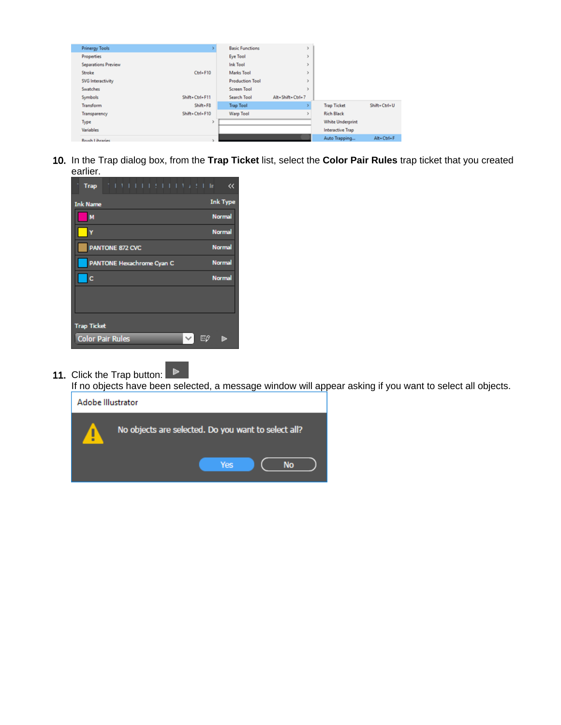| <b>Prinergy Tools</b>      |                | <b>Basic Functions</b> |                  |                         |              |
|----------------------------|----------------|------------------------|------------------|-------------------------|--------------|
| <b>Properties</b>          |                | <b>Eye Tool</b>        |                  |                         |              |
| <b>Separations Preview</b> |                | <b>Ink Tool</b>        |                  |                         |              |
| Stroke                     | $Ctrl + F10$   | <b>Marks Tool</b>      |                  |                         |              |
| <b>SVG</b> Interactivity   |                | <b>Production Tool</b> |                  |                         |              |
| <b>Swatches</b>            |                | <b>Screen Tool</b>     |                  |                         |              |
| Symbols                    | Shift+Ctrl+F11 | Search Tool            | Alt+Shift+Ctrl+7 |                         |              |
| Transform                  | Shift+F8       | <b>Trap Tool</b>       |                  | <b>Trap Ticket</b>      | Shift+Ctrl+U |
| Transparency               | Shift+Ctrl+F10 | <b>Warp Tool</b>       |                  | <b>Rich Black</b>       |              |
| Type                       | э              |                        |                  | <b>White Underprint</b> |              |
| <b>Variables</b>           |                |                        |                  | <b>Interactive Trap</b> |              |
| <b>Rough Librariac</b>     |                |                        |                  | Auto Trapping           | Alt+Ctrl+F   |
|                            |                |                        |                  |                         |              |

10. In the Trap dialog box, from the **Trap Ticket** list, select the **Color Pair Rules** trap ticket that you created earlier.

| 1   1                   1        <br><b>Trap</b> | «               |
|--------------------------------------------------|-----------------|
| <b>Ink Name</b>                                  | <b>Ink Type</b> |
| M                                                | <b>Normal</b>   |
|                                                  | <b>Normal</b>   |
| PANTONE 872 CVC                                  | <b>Normal</b>   |
| PANTONE Hexachrome Cyan C                        | <b>Normal</b>   |
| c                                                | <b>Normal</b>   |
|                                                  |                 |
|                                                  |                 |
| <b>Trap Ticket</b>                               |                 |
| <b>Color Pair Rules</b><br>Eθ<br>$\checkmark$    |                 |

Þ 11. Click the Trap button:

If no objects have been selected, a message window will appear asking if you want to select all objects.